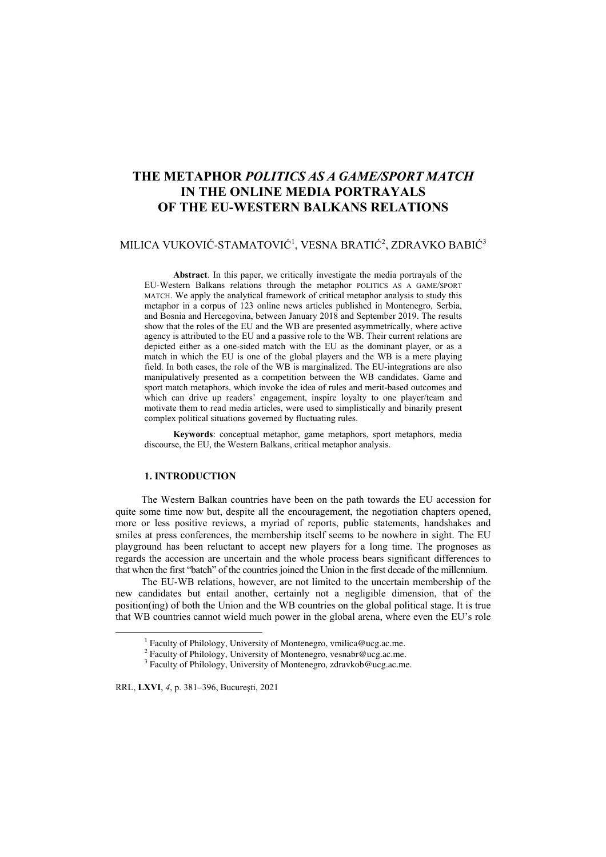# **THE METAPHOR** *POLITICS AS A GAME/SPORT MATCH* **IN THE ONLINE MEDIA PORTRAYALS OF THE EU-WESTERN BALKANS RELATIONS**

## MILICA VUKOVIĆ-STAMATOVIĆ<sup>1</sup>, VESNA BRATIĆ<sup>2</sup>, ZDRAVKO BABIĆ<sup>3</sup>

**Abstract**. In this paper, we critically investigate the media portrayals of the EU-Western Balkans relations through the metaphor POLITICS AS A GAME/SPORT MATCH. We apply the analytical framework of critical metaphor analysis to study this metaphor in a corpus of 123 online news articles published in Montenegro, Serbia, and Bosnia and Hercegovina, between January 2018 and September 2019. The results show that the roles of the EU and the WB are presented asymmetrically, where active agency is attributed to the EU and a passive role to the WB. Their current relations are depicted either as a one-sided match with the EU as the dominant player, or as a match in which the EU is one of the global players and the WB is a mere playing field. In both cases, the role of the WB is marginalized. The EU-integrations are also manipulatively presented as a competition between the WB candidates. Game and sport match metaphors, which invoke the idea of rules and merit-based outcomes and which can drive up readers' engagement, inspire loyalty to one player/team and motivate them to read media articles, were used to simplistically and binarily present complex political situations governed by fluctuating rules.

**Keywords**: conceptual metaphor, game metaphors, sport metaphors, media discourse, the EU, the Western Balkans, critical metaphor analysis.

## **1. INTRODUCTION**

The Western Balkan countries have been on the path towards the EU accession for quite some time now but, despite all the encouragement, the negotiation chapters opened, more or less positive reviews, a myriad of reports, public statements, handshakes and smiles at press conferences, the membership itself seems to be nowhere in sight. The EU playground has been reluctant to accept new players for a long time. The prognoses as regards the accession are uncertain and the whole process bears significant differences to that when the first "batch" of the countries joined the Union in the first decade of the millennium.

The EU-WB relations, however, are not limited to the uncertain membership of the new candidates but entail another, certainly not a negligible dimension, that of the position(ing) of both the Union and the WB countries on the global political stage. It is true that WB countries cannot wield much power in the global arena, where even the EU's role

RRL, **LXVI**, *4*, p. 381–396, Bucureşti, 2021

 $\frac{1}{1}$ <sup>1</sup> Faculty of Philology, University of Montenegro, vmilica@ucg.ac.me.

<sup>&</sup>lt;sup>2</sup> Faculty of Philology, University of Montenegro, vesnabr@ucg.ac.me.

<sup>&</sup>lt;sup>3</sup> Faculty of Philology, University of Montenegro, zdravkob@ucg.ac.me.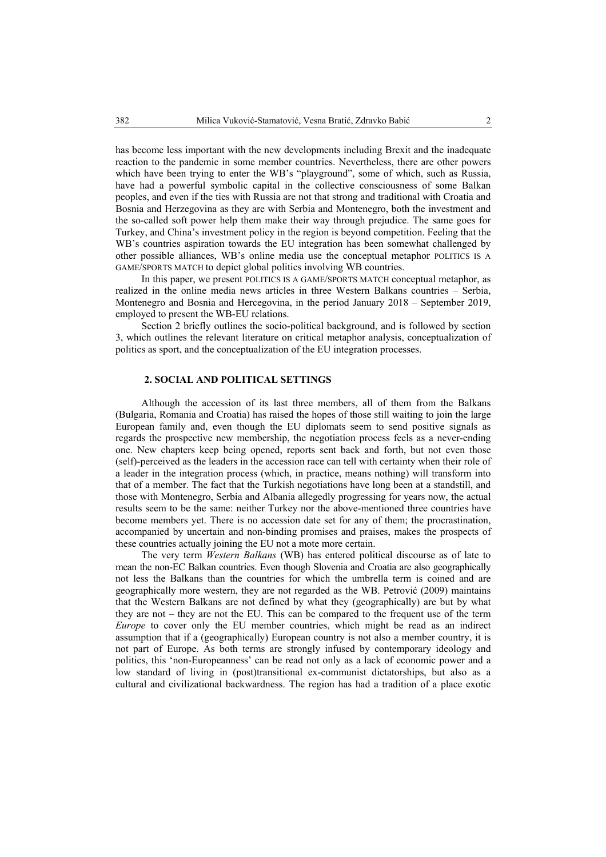has become less important with the new developments including Brexit and the inadequate reaction to the pandemic in some member countries. Nevertheless, there are other powers which have been trying to enter the WB's "playground", some of which, such as Russia, have had a powerful symbolic capital in the collective consciousness of some Balkan peoples, and even if the ties with Russia are not that strong and traditional with Croatia and Bosnia and Herzegovina as they are with Serbia and Montenegro, both the investment and the so-called soft power help them make their way through prejudice. The same goes for Turkey, and China's investment policy in the region is beyond competition. Feeling that the WB's countries aspiration towards the EU integration has been somewhat challenged by other possible alliances, WB's online media use the conceptual metaphor POLITICS IS A GAME/SPORTS MATCH to depict global politics involving WB countries.

In this paper, we present POLITICS IS A GAME/SPORTS MATCH conceptual metaphor, as realized in the online media news articles in three Western Balkans countries – Serbia, Montenegro and Bosnia and Hercegovina, in the period January 2018 – September 2019, employed to present the WB-EU relations.

Section 2 briefly outlines the socio-political background, and is followed by section 3, which outlines the relevant literature on critical metaphor analysis, conceptualization of politics as sport, and the conceptualization of the EU integration processes.

#### **2. SOCIAL AND POLITICAL SETTINGS**

Although the accession of its last three members, all of them from the Balkans (Bulgaria, Romania and Croatia) has raised the hopes of those still waiting to join the large European family and, even though the EU diplomats seem to send positive signals as regards the prospective new membership, the negotiation process feels as a never-ending one. New chapters keep being opened, reports sent back and forth, but not even those (self)-perceived as the leaders in the accession race can tell with certainty when their role of a leader in the integration process (which, in practice, means nothing) will transform into that of a member. The fact that the Turkish negotiations have long been at a standstill, and those with Montenegro, Serbia and Albania allegedly progressing for years now, the actual results seem to be the same: neither Turkey nor the above-mentioned three countries have become members yet. There is no accession date set for any of them; the procrastination, accompanied by uncertain and non-binding promises and praises, makes the prospects of these countries actually joining the EU not a mote more certain.

The very term *Western Balkans* (WB) has entered political discourse as of late to mean the non-EC Balkan countries. Even though Slovenia and Croatia are also geographically not less the Balkans than the countries for which the umbrella term is coined and are geographically more western, they are not regarded as the WB. Petrović (2009) maintains that the Western Balkans are not defined by what they (geographically) are but by what they are not – they are not the EU. This can be compared to the frequent use of the term *Europe* to cover only the EU member countries, which might be read as an indirect assumption that if a (geographically) European country is not also a member country, it is not part of Europe. As both terms are strongly infused by contemporary ideology and politics, this 'non-Europeanness' can be read not only as a lack of economic power and a low standard of living in (post)transitional ex-communist dictatorships, but also as a cultural and civilizational backwardness. The region has had a tradition of a place exotic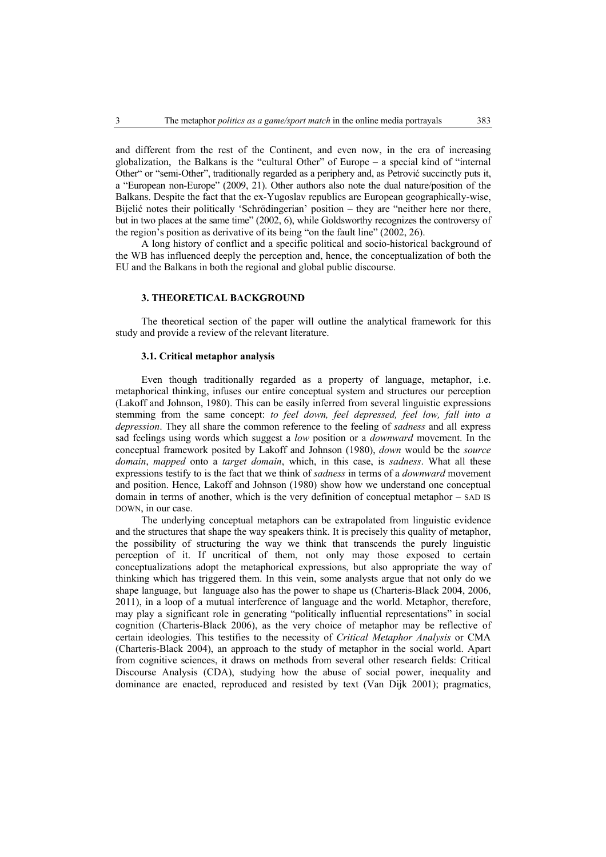and different from the rest of the Continent, and even now, in the era of increasing globalization, the Balkans is the "cultural Other" of Europe  $-$  a special kind of "internal Other" or "semi-Other", traditionally regarded as a periphery and, as Petrović succinctly puts it, a "European non-Europe" (2009, 21). Other authors also note the dual nature/position of the Balkans. Despite the fact that the ex-Yugoslav republics are European geographically-wise, Bijelić notes their politically 'Schrödingerian' position – they are "neither here nor there, but in two places at the same time" (2002, 6), while Goldsworthy recognizes the controversy of the region's position as derivative of its being "on the fault line" (2002, 26).

A long history of conflict and a specific political and socio-historical background of the WB has influenced deeply the perception and, hence, the conceptualization of both the EU and the Balkans in both the regional and global public discourse.

## **3. THEORETICAL BACKGROUND**

The theoretical section of the paper will outline the analytical framework for this study and provide a review of the relevant literature.

#### **3.1. Critical metaphor analysis**

Even though traditionally regarded as a property of language, metaphor, i.e. metaphorical thinking, infuses our entire conceptual system and structures our perception (Lakoff and Johnson, 1980). This can be easily inferred from several linguistic expressions stemming from the same concept: *to feel down, feel depressed, feel low, fall into a depression*. They all share the common reference to the feeling of *sadness* and all express sad feelings using words which suggest a *low* position or a *downward* movement. In the conceptual framework posited by Lakoff and Johnson (1980), *down* would be the *source domain*, *mapped* onto a *target domain*, which, in this case, is *sadness*. What all these expressions testify to is the fact that we think of *sadness* in terms of a *downward* movement and position. Hence, Lakoff and Johnson (1980) show how we understand one conceptual domain in terms of another, which is the very definition of conceptual metaphor – SAD IS DOWN, in our case.

The underlying conceptual metaphors can be extrapolated from linguistic evidence and the structures that shape the way speakers think. It is precisely this quality of metaphor, the possibility of structuring the way we think that transcends the purely linguistic perception of it. If uncritical of them, not only may those exposed to certain conceptualizations adopt the metaphorical expressions, but also appropriate the way of thinking which has triggered them. In this vein, some analysts argue that not only do we shape language, but language also has the power to shape us (Charteris-Black 2004, 2006, 2011), in a loop of a mutual interference of language and the world. Metaphor, therefore, may play a significant role in generating "politically influential representations" in social cognition (Charteris-Black 2006), as the very choice of metaphor may be reflective of certain ideologies. This testifies to the necessity of *Critical Metaphor Analysis* or CMA (Charteris-Black 2004), an approach to the study of metaphor in the social world. Apart from cognitive sciences, it draws on methods from several other research fields: Critical Discourse Analysis (CDA), studying how the abuse of social power, inequality and dominance are enacted, reproduced and resisted by text (Van Dijk 2001); pragmatics,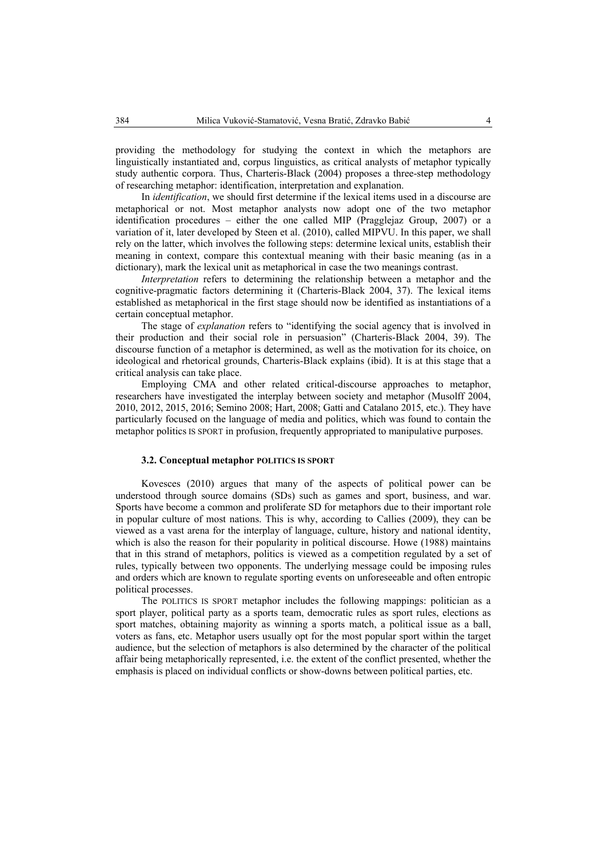providing the methodology for studying the context in which the metaphors are linguistically instantiated and, corpus linguistics, as critical analysts of metaphor typically study authentic corpora. Thus, Charteris-Black (2004) proposes a three-step methodology of researching metaphor: identification, interpretation and explanation.

In *identification*, we should first determine if the lexical items used in a discourse are metaphorical or not. Most metaphor analysts now adopt one of the two metaphor identification procedures – either the one called MIP (Pragglejaz Group, 2007) or a variation of it, later developed by Steen et al. (2010), called MIPVU. In this paper, we shall rely on the latter, which involves the following steps: determine lexical units, establish their meaning in context, compare this contextual meaning with their basic meaning (as in a dictionary), mark the lexical unit as metaphorical in case the two meanings contrast.

*Interpretation* refers to determining the relationship between a metaphor and the cognitive-pragmatic factors determining it (Charteris-Black 2004, 37). The lexical items established as metaphorical in the first stage should now be identified as instantiations of a certain conceptual metaphor.

The stage of *explanation* refers to "identifying the social agency that is involved in their production and their social role in persuasion" (Charteris-Black 2004, 39). The discourse function of а metaphor is determined, as well as the motivation for its choice, on ideological and rhetorical grounds, Charteris-Black explains (ibid). It is at this stage that a critical analysis can take place.

Employing CMA and other related critical-discourse approaches to metaphor, researchers have investigated the interplay between society and metaphor (Musolff 2004, 2010, 2012, 2015, 2016; Semino 2008; Hart, 2008; Gatti and Catalano 2015, etc.). They have particularly focused on the language of media and politics, which was found to contain the metaphor politics IS SPORT in profusion, frequently appropriated to manipulative purposes.

## **3.2. Conceptual metaphor POLITICS IS SPORT**

Kovesces (2010) argues that many of the aspects of political power can be understood through source domains (SDs) such as games and sport, business, and war. Sports have become a common and proliferate SD for metaphors due to their important role in popular culture of most nations. This is why, according to Callies (2009), they can be viewed as a vast arena for the interplay of language, culture, history and national identity, which is also the reason for their popularity in political discourse. Howe (1988) maintains that in this strand of metaphors, politics is viewed as a competition regulated by a set of rules, typically between two opponents. The underlying message could be imposing rules and orders which are known to regulate sporting events on unforeseeable and often entropic political processes.

The POLITICS IS SPORT metaphor includes the following mappings: politician as a sport player, political party as a sports team, democratic rules as sport rules, elections as sport matches, obtaining majority as winning a sports match, a political issue as a ball, voters as fans, etc. Metaphor users usually opt for the most popular sport within the target audience, but the selection of metaphors is also determined by the character of the political affair being metaphorically represented, i.e. the extent of the conflict presented, whether the emphasis is placed on individual conflicts or show-downs between political parties, etc.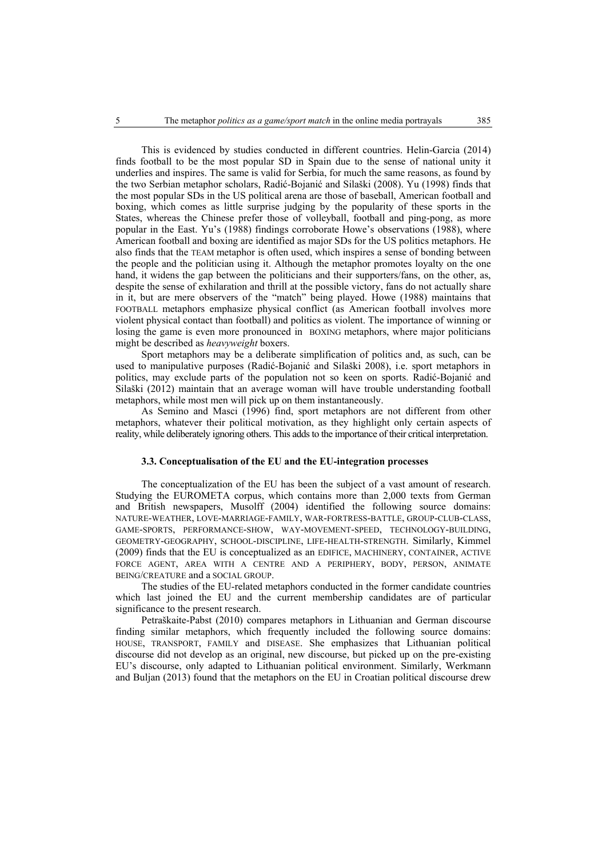This is evidenced by studies conducted in different countries. Helin-Garcia (2014) finds football to be the most popular SD in Spain due to the sense of national unity it underlies and inspires. The same is valid for Serbia, for much the same reasons, as found by the two Serbian metaphor scholars, Radić-Bojanić and Silaški (2008). Yu (1998) finds that the most popular SDs in the US political arena are those of baseball, American football and boxing, which comes as little surprise judging by the popularity of these sports in the States, whereas the Chinese prefer those of volleyball, football and ping-pong, as more popular in the East. Yu's (1988) findings corroborate Howe's observations (1988), where American football and boxing are identified as major SDs for the US politics metaphors. He also finds that the TEAM metaphor is often used, which inspires a sense of bonding between the people and the politician using it. Although the metaphor promotes loyalty on the one hand, it widens the gap between the politicians and their supporters/fans, on the other, as, despite the sense of exhilaration and thrill at the possible victory, fans do not actually share in it, but are mere observers of the "match" being played. Howe (1988) maintains that FOOTBALL metaphors emphasize physical conflict (as American football involves more violent physical contact than football) and politics as violent. The importance of winning or losing the game is even more pronounced in BOXING metaphors, where major politicians might be described as *heavyweight* boxers.

Sport metaphors may be a deliberate simplification of politics and, as such, can be used to manipulative purposes (Radić-Bojanić and Silaški 2008), i.e. sport metaphors in politics, may exclude parts of the population not so keen on sports. Radić-Bojanić and Silaški (2012) maintain that an average woman will have trouble understanding football metaphors, while most men will pick up on them instantaneously.

As Semino and Masci (1996) find, sport metaphors are not different from other metaphors, whatever their political motivation, as they highlight only certain aspects of reality, while deliberately ignoring others. This adds to the importance of their critical interpretation.

### **3.3. Conceptualisation of the EU and the EU-integration processes**

The conceptualization of the EU has been the subject of a vast amount of research. Studying the EUROMETA corpus, which contains more than 2,000 texts from German and British newspapers, Musolff (2004) identified the following source domains: NATURE-WEATHER, LOVE-MARRIAGE-FAMILY, WAR-FORTRESS-BATTLE, GROUP-CLUB-CLASS, GAME-SPORTS, PERFORMANCE-SHOW, WAY-MOVEMENT-SPEED, TECHNOLOGY-BUILDING, GEOMETRY-GEOGRAPHY, SCHOOL-DISCIPLINE, LIFE-HEALTH-STRENGTH. Similarly, Kimmel (2009) finds that the EU is conceptualized as an EDIFICE, MACHINERY, CONTAINER, ACTIVE FORCE AGENT, AREA WITH A CENTRE AND A PERIPHERY, BODY, PERSON, ANIMATE BEING/CREATURE and a SOCIAL GROUP.

The studies of the EU-related metaphors conducted in the former candidate countries which last joined the EU and the current membership candidates are of particular significance to the present research.

Petraškaite-Pabst (2010) compares metaphors in Lithuanian and German discourse finding similar metaphors, which frequently included the following source domains: HOUSE, TRANSPORT, FAMILY and DISEASE. She emphasizes that Lithuanian political discourse did not develop as an original, new discourse, but picked up on the pre-existing EU's discourse, only adapted to Lithuanian political environment. Similarly, Werkmann and Buljan (2013) found that the metaphors on the EU in Croatian political discourse drew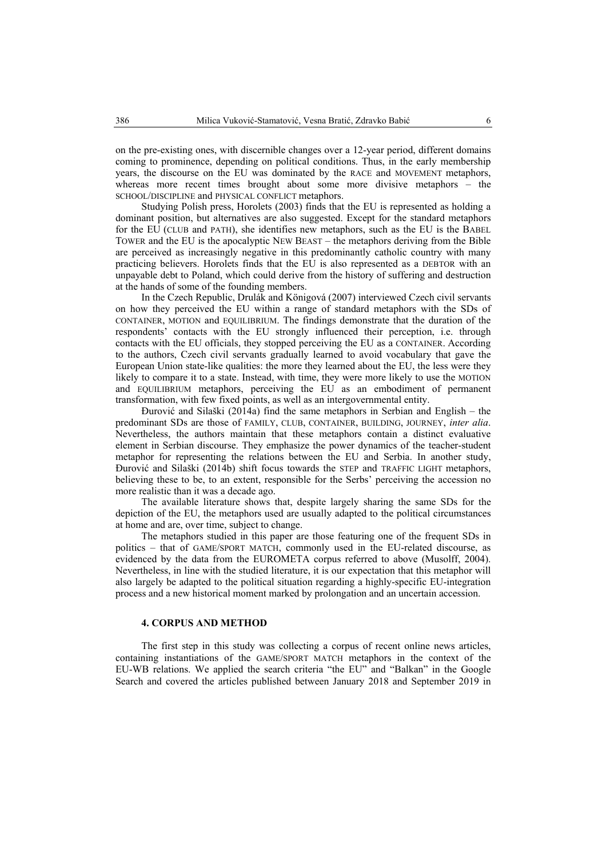on the pre-existing ones, with discernible changes over a 12-year period, different domains coming to prominence, depending on political conditions. Thus, in the early membership years, the discourse on the EU was dominated by the RACE and MOVEMENT metaphors, whereas more recent times brought about some more divisive metaphors – the SCHOOL/DISCIPLINE and PHYSICAL CONFLICT metaphors.

Studying Polish press, Horolets (2003) finds that the EU is represented as holding a dominant position, but alternatives are also suggested. Except for the standard metaphors for the EU (CLUB and PATH), she identifies new metaphors, such as the EU is the BABEL TOWER and the EU is the apocalyptic NEW BEAST – the metaphors deriving from the Bible are perceived as increasingly negative in this predominantly catholic country with many practicing believers. Horolets finds that the EU is also represented as a DEBTOR with an unpayable debt to Poland, which could derive from the history of suffering and destruction at the hands of some of the founding members.

In the Czech Republic, Drulák and Königová (2007) interviewed Czech civil servants on how they perceived the EU within a range of standard metaphors with the SDs of CONTAINER, MOTION and EQUILIBRIUM. The findings demonstrate that the duration of the respondents' contacts with the EU strongly influenced their perception, i.e. through contacts with the EU officials, they stopped perceiving the EU as a CONTAINER. According to the authors, Czech civil servants gradually learned to avoid vocabulary that gave the European Union state-like qualities: the more they learned about the EU, the less were they likely to compare it to a state. Instead, with time, they were more likely to use the MOTION and EQUILIBRIUM metaphors, perceiving the EU as an embodiment of permanent transformation, with few fixed points, as well as an intergovernmental entity.

Đurović and Silaški (2014a) find the same metaphors in Serbian and English – the predominant SDs are those of FAMILY, CLUB, CONTAINER, BUILDING, JOURNEY, *inter alia*. Nevertheless, the authors maintain that these metaphors contain a distinct evaluative element in Serbian discourse. They emphasize the power dynamics of the teacher-student metaphor for representing the relations between the EU and Serbia. In another study, Đurović and Silaški (2014b) shift focus towards the STEP and TRAFFIC LIGHT metaphors, believing these to be, to an extent, responsible for the Serbs' perceiving the accession no more realistic than it was a decade ago.

The available literature shows that, despite largely sharing the same SDs for the depiction of the EU, the metaphors used are usually adapted to the political circumstances at home and are, over time, subject to change.

The metaphors studied in this paper are those featuring one of the frequent SDs in politics – that of GAME/SPORT MATCH, commonly used in the EU-related discourse, as evidenced by the data from the EUROMETA corpus referred to above (Musolff, 2004). Nevertheless, in line with the studied literature, it is our expectation that this metaphor will also largely be adapted to the political situation regarding a highly-specific EU-integration process and a new historical moment marked by prolongation and an uncertain accession.

#### **4. CORPUS AND METHOD**

The first step in this study was collecting a corpus of recent online news articles, containing instantiations of the GAME/SPORT MATCH metaphors in the context of the EU-WB relations. We applied the search criteria "the EU" and "Balkan" in the Google Search and covered the articles published between January 2018 and September 2019 in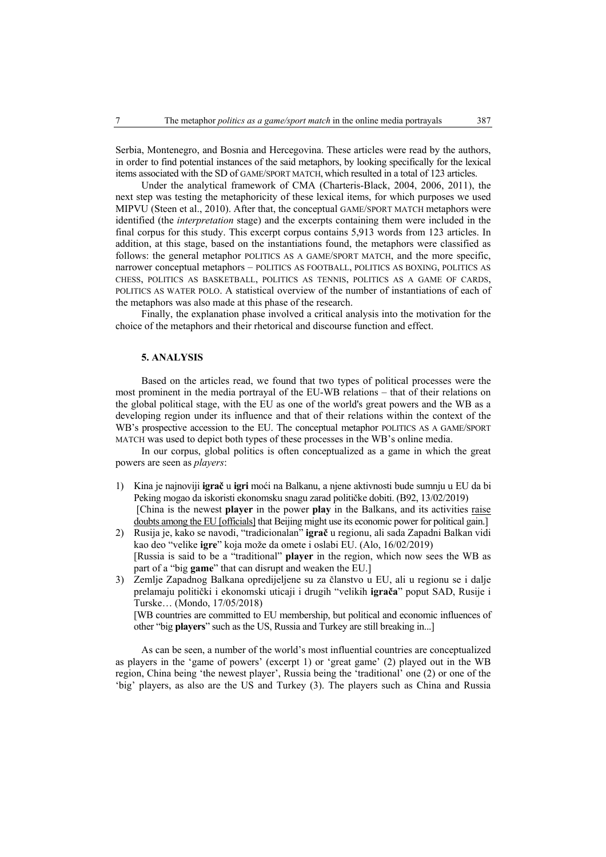Serbia, Montenegro, and Bosnia and Hercegovina. These articles were read by the authors, in order to find potential instances of the said metaphors, by looking specifically for the lexical items associated with the SD of GAME/SPORT MATCH, which resulted in a total of 123 articles.

Under the analytical framework of CMA (Charteris-Black, 2004, 2006, 2011), the next step was testing the metaphoricity of these lexical items, for which purposes we used MIPVU (Steen et al., 2010). After that, the conceptual GAME/SPORT MATCH metaphors were identified (the *interpretation* stage) and the excerpts containing them were included in the final corpus for this study. This excerpt corpus contains 5,913 words from 123 articles. In addition, at this stage, based on the instantiations found, the metaphors were classified as follows: the general metaphor POLITICS AS A GAME/SPORT MATCH, and the more specific, narrower conceptual metaphors – POLITICS AS FOOTBALL, POLITICS AS BOXING, POLITICS AS CHESS, POLITICS AS BASKETBALL, POLITICS AS TENNIS, POLITICS AS A GAME OF CARDS, POLITICS AS WATER POLO. A statistical overview of the number of instantiations of each of the metaphors was also made at this phase of the research.

Finally, the explanation phase involved a critical analysis into the motivation for the choice of the metaphors and their rhetorical and discourse function and effect.

## **5. ANALYSIS**

Based on the articles read, we found that two types of political processes were the most prominent in the media portrayal of the EU-WB relations – that of their relations on the global political stage, with the EU as one of the world's great powers and the WB as a developing region under its influence and that of their relations within the context of the WB's prospective accession to the EU. The conceptual metaphor POLITICS AS A GAME/SPORT MATCH was used to depict both types of these processes in the WB's online media.

In our corpus, global politics is often conceptualized as a game in which the great powers are seen as *players*:

- 1) Kina je najnoviji **igrač** u **igri** moći na Balkanu, a njene aktivnosti bude sumnju u EU da bi Peking mogao da iskoristi ekonomsku snagu zarad političke dobiti. (B92, 13/02/2019) [China is the newest **player** in the power **play** in the Balkans, and its activities raise doubts among the EU [officials] that Beijing might use its economic power for political gain.]
- 2) Rusija je, kako se navodi, "tradicionalan" **igrač** u regionu, ali sada Zapadni Balkan vidi kao deo "velike **igre**" koja može da omete i oslabi EU. (Alo, 16/02/2019) [Russia is said to be a "traditional" **player** in the region, which now sees the WB as part of a "big **game**" that can disrupt and weaken the EU.]
- 3) Zemlje Zapadnog Balkana opredijeljene su za članstvo u EU, ali u regionu se i dalje prelamaju politički i ekonomski uticaji i drugih "velikih **igrača**" poput SAD, Rusije i Turske… (Mondo, 17/05/2018)

[WB countries are committed to EU membership, but political and economic influences of other "big **players**" such as the US, Russia and Turkey are still breaking in...]

As can be seen, a number of the world's most influential countries are conceptualized as players in the 'game of powers' (excerpt 1) or 'great game' (2) played out in the WB region, China being 'the newest player', Russia being the 'traditional' one (2) or one of the 'big' players, as also are the US and Turkey (3). The players such as China and Russia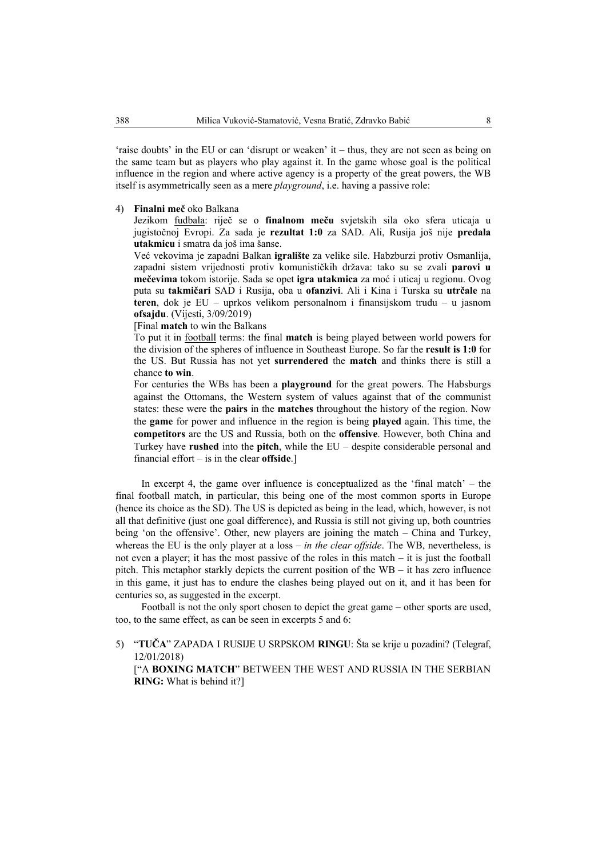'raise doubts' in the EU or can 'disrupt or weaken' it – thus, they are not seen as being on the same team but as players who play against it. In the game whose goal is the political influence in the region and where active agency is a property of the great powers, the WB itself is asymmetrically seen as a mere *playground*, i.e. having a passive role:

#### 4) **Finalni meč** oko Balkana

Jezikom fudbala: riječ se o **finalnom meču** svjetskih sila oko sfera uticaja u jugistočnoj Evropi. Za sada je **rezultat 1:0** za SAD. Ali, Rusija još nije **predala utakmicu** i smatra da još ima šanse.

Već vekovima je zapadni Balkan **igralište** za velike sile. Habzburzi protiv Osmanlija, zapadni sistem vrijednosti protiv komunističkih država: tako su se zvali **parovi u mečevima** tokom istorije. Sada se opet **igra utakmica** za moć i uticaj u regionu. Ovog puta su **takmičari** SAD i Rusija, oba u **ofanzivi**. Ali i Kina i Turska su **utrčale** na **teren**, dok je EU – uprkos velikom personalnom i finansijskom trudu – u jasnom **ofsajdu**. (Vijesti, 3/09/2019)

[Final **match** to win the Balkans

To put it in football terms: the final **match** is being played between world powers for the division of the spheres of influence in Southeast Europe. So far the **result is 1:0** for the US. But Russia has not yet **surrendered** the **match** and thinks there is still a chance **to win**.

For centuries the WBs has been a **playground** for the great powers. The Habsburgs against the Ottomans, the Western system of values against that of the communist states: these were the **pairs** in the **matches** throughout the history of the region. Now the **game** for power and influence in the region is being **played** again. This time, the **competitors** are the US and Russia, both on the **offensive**. However, both China and Turkey have **rushed** into the **pitch**, while the EU – despite considerable personal and financial effort – is in the clear **offside**.]

In excerpt 4, the game over influence is conceptualized as the 'final match' – the final football match, in particular, this being one of the most common sports in Europe (hence its choice as the SD). The US is depicted as being in the lead, which, however, is not all that definitive (just one goal difference), and Russia is still not giving up, both countries being 'on the offensive'. Other, new players are joining the match – China and Turkey, whereas the EU is the only player at a loss – *in the clear offside*. The WB, nevertheless, is not even a player; it has the most passive of the roles in this match – it is just the football pitch. This metaphor starkly depicts the current position of the WB – it has zero influence in this game, it just has to endure the clashes being played out on it, and it has been for centuries so, as suggested in the excerpt.

Football is not the only sport chosen to depict the great game – other sports are used, too, to the same effect, as can be seen in excerpts 5 and 6:

5) "**TUČA**" ZAPADA I RUSIJE U SRPSKOM **RINGU**: Šta se krije u pozadini? (Telegraf, 12/01/2018) ["A **BOXING MATCH**" BETWEEN THE WEST AND RUSSIA IN THE SERBIAN **RING:** What is behind it?]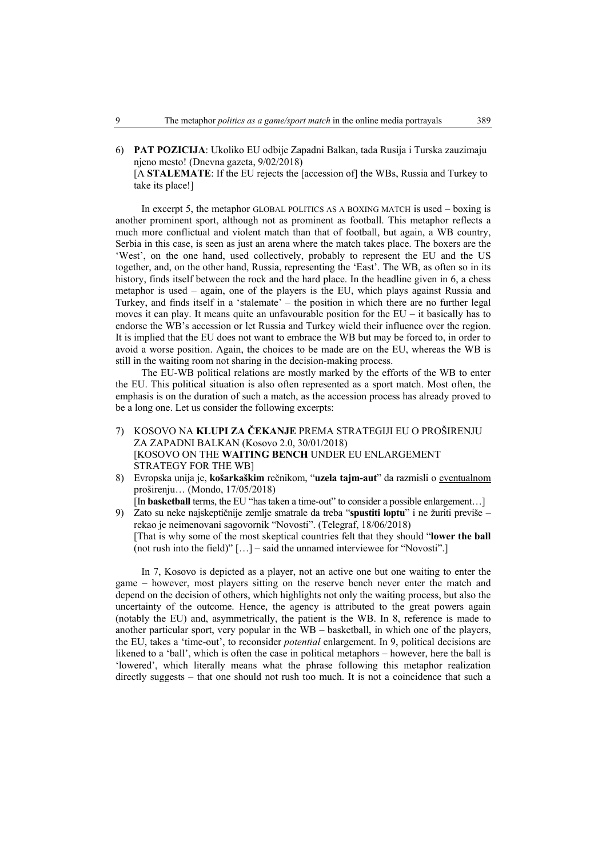6) **PAT POZICIJA**: Ukoliko EU odbije Zapadni Balkan, tada Rusija i Turska zauzimaju njeno mesto! (Dnevna gazeta, 9/02/2018)

[A **STALEMATE**: If the EU rejects the [accession of] the WBs, Russia and Turkey to take its place!]

In excerpt 5, the metaphor GLOBAL POLITICS AS A BOXING MATCH is used – boxing is another prominent sport, although not as prominent as football. This metaphor reflects a much more conflictual and violent match than that of football, but again, a WB country, Serbia in this case, is seen as just an arena where the match takes place. The boxers are the 'West', on the one hand, used collectively, probably to represent the EU and the US together, and, on the other hand, Russia, representing the 'East'. The WB, as often so in its history, finds itself between the rock and the hard place. In the headline given in 6, a chess metaphor is used – again, one of the players is the EU, which plays against Russia and Turkey, and finds itself in a 'stalemate' – the position in which there are no further legal moves it can play. It means quite an unfavourable position for the EU – it basically has to endorse the WB's accession or let Russia and Turkey wield their influence over the region. It is implied that the EU does not want to embrace the WB but may be forced to, in order to avoid a worse position. Again, the choices to be made are on the EU, whereas the WB is still in the waiting room not sharing in the decision-making process.

The EU-WB political relations are mostly marked by the efforts of the WB to enter the EU. This political situation is also often represented as a sport match. Most often, the emphasis is on the duration of such a match, as the accession process has already proved to be a long one. Let us consider the following excerpts:

- 7) KOSOVO NA **KLUPI ZA ČEKANJE** PREMA STRATEGIJI EU O PROŠIRENJU ZA ZAPADNI BALKAN (Kosovo 2.0, 30/01/2018) [KOSOVO ON THE **WAITING BENCH** UNDER EU ENLARGEMENT STRATEGY FOR THE WB]
- 8) Evropska unija je, **košarkaškim** rečnikom, "**uzela tajm-aut**" da razmisli o eventualnom proširenju… (Mondo, 17/05/2018)
- [In **basketball** terms, the EU "has taken a time-out" to consider a possible enlargement...] 9) Zato su neke najskeptičnije zemlje smatrale da treba "**spustiti loptu**" i ne žuriti previše – rekao je neimenovani sagovornik "Novosti". (Telegraf, 18/06/2018) [That is why some of the most skeptical countries felt that they should "**lower the ball**

(not rush into the field)" […] – said the unnamed interviewee for "Novosti".]

In 7, Kosovo is depicted as a player, not an active one but one waiting to enter the game – however, most players sitting on the reserve bench never enter the match and depend on the decision of others, which highlights not only the waiting process, but also the uncertainty of the outcome. Hence, the agency is attributed to the great powers again (notably the EU) and, asymmetrically, the patient is the WB. In 8, reference is made to another particular sport, very popular in the WB – basketball, in which one of the players, the EU, takes a 'time-out', to reconsider *potential* enlargement. In 9, political decisions are likened to a 'ball', which is often the case in political metaphors – however, here the ball is 'lowered', which literally means what the phrase following this metaphor realization directly suggests – that one should not rush too much. It is not a coincidence that such a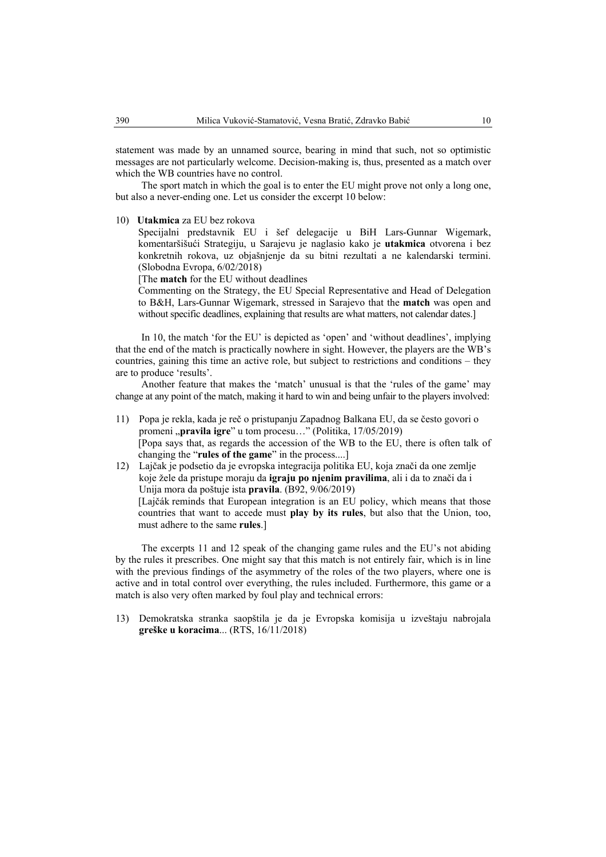statement was made by an unnamed source, bearing in mind that such, not so optimistic messages are not particularly welcome. Decision-making is, thus, presented as a match over which the WB countries have no control.

The sport match in which the goal is to enter the EU might prove not only a long one, but also a never-ending one. Let us consider the excerpt 10 below:

10) **Utakmica** za EU bez rokova

Specijalni predstavnik EU i šef delegacije u BiH Lars-Gunnar Wigemark, komentaršišući Strategiju, u Sarajevu je naglasio kako je **utakmica** otvorena i bez konkretnih rokova, uz objašnjenje da su bitni rezultati a ne kalendarski termini. (Slobodna Evropa, 6/02/2018)

[The **match** for the EU without deadlines

Commenting on the Strategy, the EU Special Representative and Head of Delegation to B&H, Lars-Gunnar Wigemark, stressed in Sarajevo that the **match** was open and without specific deadlines, explaining that results are what matters, not calendar dates.]

In 10, the match 'for the EU' is depicted as 'open' and 'without deadlines', implying that the end of the match is practically nowhere in sight. However, the players are the WB's countries, gaining this time an active role, but subject to restrictions and conditions – they are to produce 'results'.

Another feature that makes the 'match' unusual is that the 'rules of the game' may change at any point of the match, making it hard to win and being unfair to the players involved:

- 11) Popa je rekla, kada je reč o pristupanju Zapadnog Balkana EU, da se često govori o promeni **"pravila igre**" u tom procesu…" (Politika, 17/05/2019) [Popa says that, as regards the accession of the WB to the EU, there is often talk of changing the "**rules of the game**" in the process....]
- 12) Lajčak je podsetio da je evropska integracija politika EU, koja znači da one zemlje koje žele da pristupe moraju da **igraju po njenim pravilima**, ali i da to znači da i Unija mora da poštuje ista **pravila**. (B92, 9/06/2019) [Lajčák reminds that European integration is an EU policy, which means that those countries that want to accede must **play by its rules**, but also that the Union, too, must adhere to the same **rules**.]

The excerpts 11 and 12 speak of the changing game rules and the EU's not abiding by the rules it prescribes. One might say that this match is not entirely fair, which is in line with the previous findings of the asymmetry of the roles of the two players, where one is active and in total control over everything, the rules included. Furthermore, this game or a match is also very often marked by foul play and technical errors:

13) Demokratska stranka saopštila je da je Evropska komisija u izveštaju nabrojala **greške u koracima**... (RTS, 16/11/2018)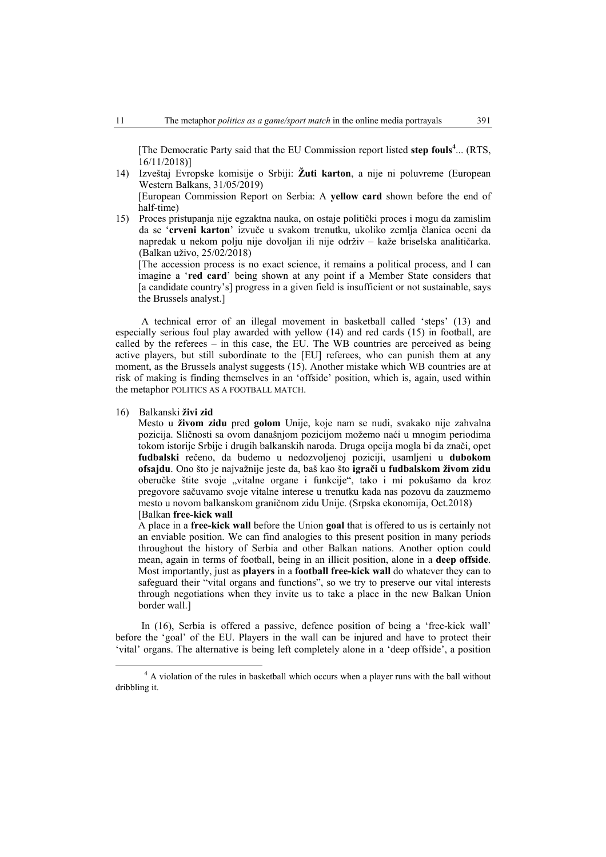[The Democratic Party said that the EU Commission report listed **step fouls<sup>4</sup>** ... (RTS, 16/11/2018)]

- 14) Izveštaj Evropske komisije o Srbiji: **Žuti karton**, a nije ni poluvreme (European Western Balkans, 31/05/2019) [European Commission Report on Serbia: A **yellow card** shown before the end of half-time)
- 15) Proces pristupanja nije egzaktna nauka, on ostaje politički proces i mogu da zamislim da se '**crveni karton**' izvuče u svakom trenutku, ukoliko zemlja članica oceni da napredak u nekom polju nije dovoljan ili nije održiv – kaže briselska analitičarka. (Balkan uživo, 25/02/2018)

[The accession process is no exact science, it remains a political process, and I can imagine a '**red card**' being shown at any point if a Member State considers that [a candidate country's] progress in a given field is insufficient or not sustainable, says the Brussels analyst.]

A technical error of an illegal movement in basketball called 'steps' (13) and especially serious foul play awarded with yellow (14) and red cards (15) in football, are called by the referees – in this case, the EU. The WB countries are perceived as being active players, but still subordinate to the [EU] referees, who can punish them at any moment, as the Brussels analyst suggests (15). Another mistake which WB countries are at risk of making is finding themselves in an 'offside' position, which is, again, used within the metaphor POLITICS AS A FOOTBALL MATCH.

#### 16) Balkanski **živi zid**

Mesto u **živom zidu** pred **golom** Unije, koje nam se nudi, svakako nije zahvalna pozicija. Sličnosti sa ovom današnjom pozicijom možemo naći u mnogim periodima tokom istorije Srbije i drugih balkanskih naroda. Druga opcija mogla bi da znači, opet **fudbalski** rečeno, da budemo u nedozvoljenoj poziciji, usamljeni u **dubokom ofsajdu**. Ono što je najvažnije jeste da, baš kao što **igrači** u **fudbalskom živom zidu**  oberučke štite svoje "vitalne organe i funkcije", tako i mi pokušamo da kroz pregovore sačuvamo svoje vitalne interese u trenutku kada nas pozovu da zauzmemo mesto u novom balkanskom graničnom zidu Unije. (Srpska ekonomija, Oct.2018) [Balkan **free-kick wall**

A place in a **free-kick wall** before the Union **goal** that is offered to us is certainly not an enviable position. We can find analogies to this present position in many periods throughout the history of Serbia and other Balkan nations. Another option could mean, again in terms of football, being in an illicit position, alone in a **deep offside**. Most importantly, just as **players** in a **football free-kick wall** do whatever they can to safeguard their "vital organs and functions", so we try to preserve our vital interests through negotiations when they invite us to take a place in the new Balkan Union border wall.]

In (16), Serbia is offered a passive, defence position of being a 'free-kick wall' before the 'goal' of the EU. Players in the wall can be injured and have to protect their 'vital' organs. The alternative is being left completely alone in a 'deep offside', a position

 $\frac{1}{4}$ <sup>4</sup> A violation of the rules in basketball which occurs when a player runs with the ball without dribbling it.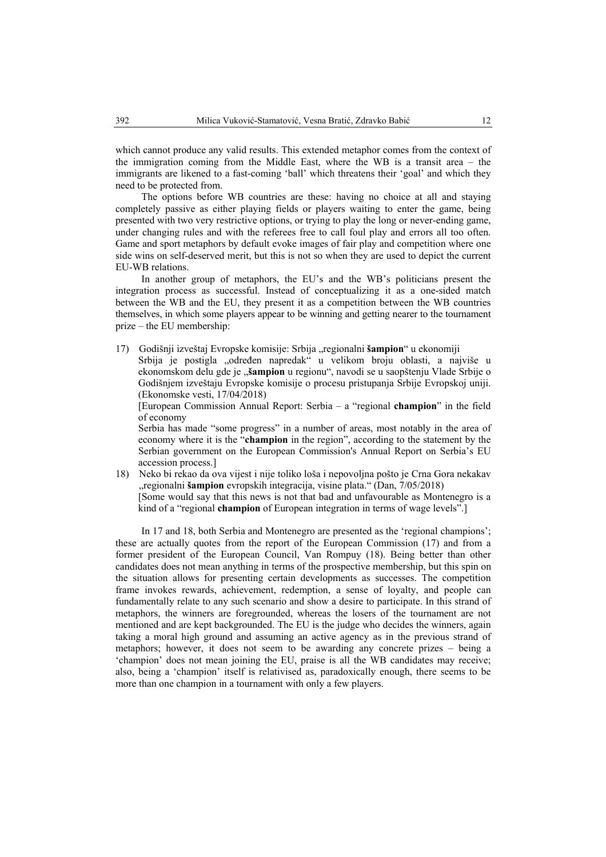which cannot produce any valid results. This extended metaphor comes from the context of the immigration coming from the Middle East, where the WB is a transit area – the immigrants are likened to a fast-coming 'ball' which threatens their 'goal' and which they need to be protected from.

The options before WB countries are these: having no choice at all and staying completely passive as either playing fields or players waiting to enter the game, being presented with two very restrictive options, or trying to play the long or never-ending game, under changing rules and with the referees free to call foul play and errors all too often. Game and sport metaphors by default evoke images of fair play and competition where one side wins on self-deserved merit, but this is not so when they are used to depict the current EU-WB relations.

In another group of metaphors, the EU's and the WB's politicians present the integration process as successful. Instead of conceptualizing it as a one-sided match between the WB and the EU, they present it as a competition between the WB countries themselves, in which some players appear to be winning and getting nearer to the tournament prize – the EU membership:

17) Godišnji izveštaj Evropske komisije: Srbija "regionalni **šampion**" u ekonomiji Srbija je postigla "određen napredak" u velikom broju oblasti, a najviše u ekonomskom delu gde je "šampion u regionu", navodi se u saopštenju Vlade Srbije o Godišnjem izveštaju Evropske komisije o procesu pristupanja Srbije Evropskoj uniji. (Ekonomske vesti, 17/04/2018)

[European Commission Annual Report: Serbia – a "regional **champion**" in the field of economy

Serbia has made "some progress" in a number of areas, most notably in the area of economy where it is the "**champion** in the region", according to the statement by the Serbian government on the European Commission's Annual Report on Serbia's EU accession process.]

18) Neko bi rekao da ova vijest i nije toliko loša i nepovoljna pošto je Crna Gora nekakav "regionalni **šampion** evropskih integracija, visine plata." (Dan, 7/05/2018) [Some would say that this news is not that bad and unfavourable as Montenegro is a kind of a "regional **champion** of European integration in terms of wage levels".]

In 17 and 18, both Serbia and Montenegro are presented as the 'regional champions'; these are actually quotes from the report of the European Commission (17) and from a former president of the European Council, Van Rompuy (18). Being better than other candidates does not mean anything in terms of the prospective membership, but this spin on the situation allows for presenting certain developments as successes. The competition frame invokes rewards, achievement, redemption, a sense of loyalty, and people can fundamentally relate to any such scenario and show a desire to participate. In this strand of metaphors, the winners are foregrounded, whereas the losers of the tournament are not mentioned and are kept backgrounded. The EU is the judge who decides the winners, again taking a moral high ground and assuming an active agency as in the previous strand of metaphors; however, it does not seem to be awarding any concrete prizes – being a 'champion' does not mean joining the EU, praise is all the WB candidates may receive; also, being a 'champion' itself is relativised as, paradoxically enough, there seems to be more than one champion in a tournament with only a few players.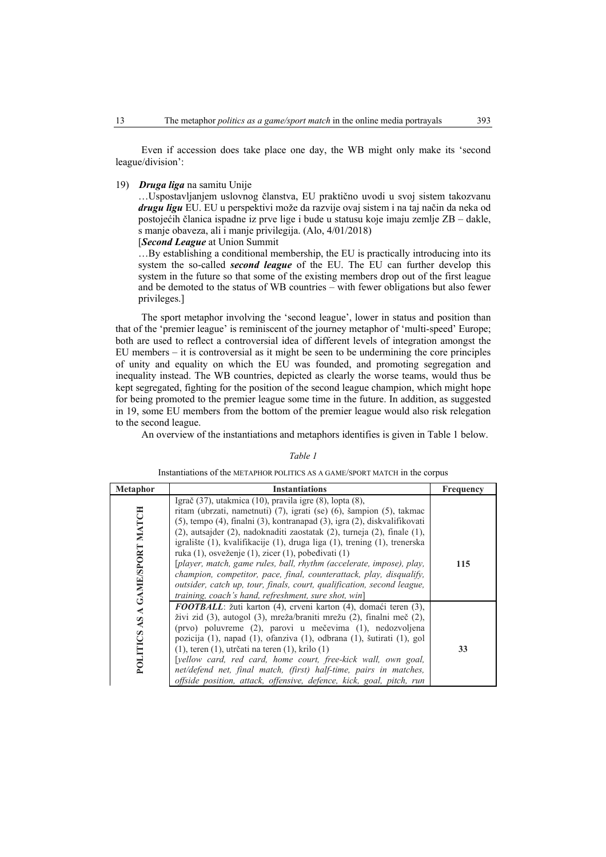Even if accession does take place one day, the WB might only make its 'second league/division':

## 19) *Druga liga* na samitu Unije

…Uspostavljanjem uslovnog članstva, EU praktično uvodi u svoj sistem takozvanu *drugu ligu* EU. EU u perspektivi može da razvije ovaj sistem i na taj način da neka od postojećih članica ispadne iz prve lige i bude u statusu koje imaju zemlje ZB – dakle, s manje obaveza, ali i manje privilegija. (Alo, 4/01/2018) [*Second League* at Union Summit

…By establishing a conditional membership, the EU is practically introducing into its system the so-called *second league* of the EU. The EU can further develop this system in the future so that some of the existing members drop out of the first league

and be demoted to the status of WB countries – with fewer obligations but also fewer privileges.] The sport metaphor involving the 'second league', lower in status and position than that of the 'premier league' is reminiscent of the journey metaphor of 'multi-speed' Europe;

both are used to reflect a controversial idea of different levels of integration amongst the EU members – it is controversial as it might be seen to be undermining the core principles of unity and equality on which the EU was founded, and promoting segregation and inequality instead. The WB countries, depicted as clearly the worse teams, would thus be kept segregated, fighting for the position of the second league champion, which might hope for being promoted to the premier league some time in the future. In addition, as suggested in 19, some EU members from the bottom of the premier league would also risk relegation to the second league.

An overview of the instantiations and metaphors identifies is given in Table 1 below.

#### *Table 1*

Instantiations of the METAPHOR POLITICS AS A GAME/SPORT MATCH in the corpus

| Metaphor                       | <b>Instantiations</b>                                                                                                                                                                                                                                                                                                                                                                                                                                                                                                                                                                                                                                                                                                 | <b>Frequency</b> |
|--------------------------------|-----------------------------------------------------------------------------------------------------------------------------------------------------------------------------------------------------------------------------------------------------------------------------------------------------------------------------------------------------------------------------------------------------------------------------------------------------------------------------------------------------------------------------------------------------------------------------------------------------------------------------------------------------------------------------------------------------------------------|------------------|
| POLITICS AS A GAME/SPORT MATCH | Igrač $(37)$ , utakmica $(10)$ , pravila igre $(8)$ , lopta $(8)$ ,<br>ritam (ubrzati, nametnuti) (7), igrati (se) (6), šampion (5), takmac<br>(5), tempo (4), finalni (3), kontranapad (3), igra (2), diskvalifikovati<br>(2), autsajder (2), nadoknaditi zaostatak (2), turneja (2), finale (1),<br>igralište (1), kvalifikacije (1), druga liga (1), trening (1), trenerska<br>ruka (1), osveženje (1), zicer (1), pobedivati (1)<br>[player, match, game rules, ball, rhythm (accelerate, impose), play,<br>champion, competitor, pace, final, counterattack, play, disqualify,<br>outsider, catch up, tour, finals, court, qualification, second league,<br>training, coach's hand, refreshment, sure shot, win] | 115              |
|                                | <b>FOOTBALL</b> : žuti karton (4), crveni karton (4), domaći teren (3),<br>živi zid (3), autogol (3), mreža/braniti mrežu (2), finalni meč (2),<br>(prvo) poluvreme (2), parovi u mečevima (1), nedozvoljena<br>pozicija (1), napad (1), ofanziva (1), odbrana (1), šutirati (1), gol<br>$(1)$ , teren $(1)$ , utrčati na teren $(1)$ , krilo $(1)$<br>[yellow card, red card, home court, free-kick wall, own goal,<br>net/defend net, final match, (first) half-time, pairs in matches,<br>offside position, attack, offensive, defence, kick, goal, pitch, run                                                                                                                                                     | 33               |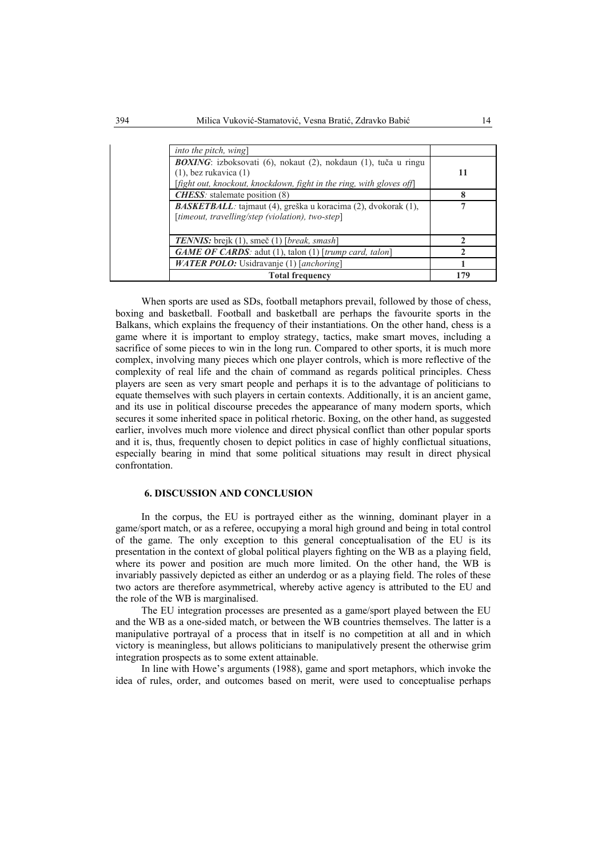| <i>into the pitch, wing</i>                                                                                                                                                  |     |
|------------------------------------------------------------------------------------------------------------------------------------------------------------------------------|-----|
| <b>BOXING</b> : izboksovati (6), nokaut (2), nokdaun (1), tuča u ringu<br>$(1)$ , bez rukavica $(1)$<br>[fight out, knockout, knockdown, fight in the ring, with gloves off] | 11  |
| <b>CHESS</b> : stalemate position (8)                                                                                                                                        | 8   |
| <b>BASKETBALL</b> : tajmaut (4), greška u koracima (2), dvokorak (1),<br>[timeout, travelling/step (violation), two-step]                                                    |     |
| <b>TENNIS:</b> brejk (1), smeč (1) [ <i>break, smash</i> ]                                                                                                                   |     |
| <b>GAME OF CARDS</b> : adut (1), talon (1) [trump card, talon]                                                                                                               |     |
| <b>WATER POLO:</b> Usidravanje (1) [anchoring]                                                                                                                               |     |
| <b>Total frequency</b>                                                                                                                                                       | 179 |

When sports are used as SDs, football metaphors prevail, followed by those of chess, boxing and basketball. Football and basketball are perhaps the favourite sports in the Balkans, which explains the frequency of their instantiations. On the other hand, chess is a game where it is important to employ strategy, tactics, make smart moves, including a sacrifice of some pieces to win in the long run. Compared to other sports, it is much more complex, involving many pieces which one player controls, which is more reflective of the complexity of real life and the chain of command as regards political principles. Chess players are seen as very smart people and perhaps it is to the advantage of politicians to equate themselves with such players in certain contexts. Additionally, it is an ancient game, and its use in political discourse precedes the appearance of many modern sports, which secures it some inherited space in political rhetoric. Boxing, on the other hand, as suggested earlier, involves much more violence and direct physical conflict than other popular sports and it is, thus, frequently chosen to depict politics in case of highly conflictual situations, especially bearing in mind that some political situations may result in direct physical confrontation.

#### **6. DISCUSSION AND CONCLUSION**

In the corpus, the EU is portrayed either as the winning, dominant player in a game/sport match, or as a referee, occupying a moral high ground and being in total control of the game. The only exception to this general conceptualisation of the EU is its presentation in the context of global political players fighting on the WB as a playing field, where its power and position are much more limited. On the other hand, the WB is invariably passively depicted as either an underdog or as a playing field. The roles of these two actors are therefore asymmetrical, whereby active agency is attributed to the EU and the role of the WB is marginalised.

The EU integration processes are presented as a game/sport played between the EU and the WB as a one-sided match, or between the WB countries themselves. The latter is a manipulative portrayal of a process that in itself is no competition at all and in which victory is meaningless, but allows politicians to manipulatively present the otherwise grim integration prospects as to some extent attainable.

In line with Howe's arguments (1988), game and sport metaphors, which invoke the idea of rules, order, and outcomes based on merit, were used to conceptualise perhaps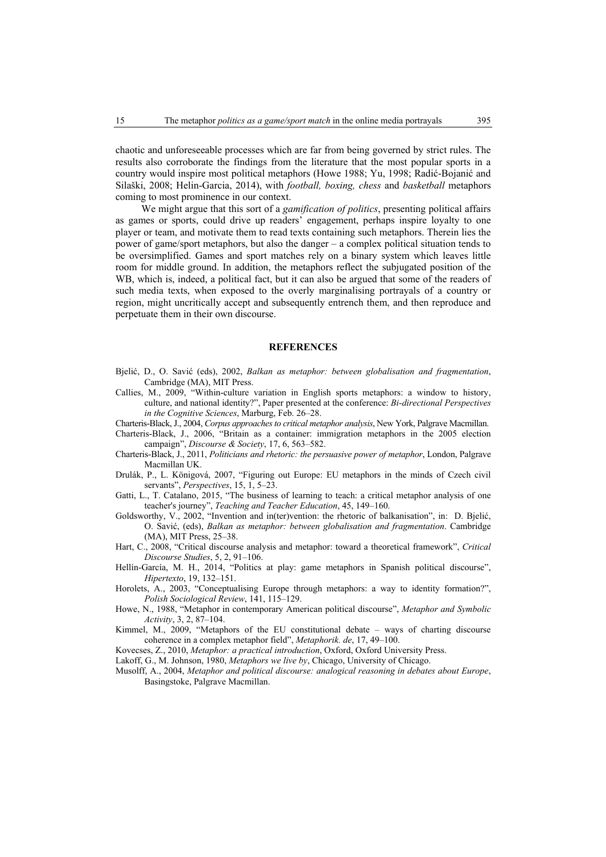chaotic and unforeseeable processes which are far from being governed by strict rules. The results also corroborate the findings from the literature that the most popular sports in a country would inspire most political metaphors (Howe 1988; Yu, 1998; Radić-Bojanić and Silaški, 2008; Helin-Garcia, 2014), with *football, boxing, chess* and *basketball* metaphors coming to most prominence in our context.

We might argue that this sort of a *gamification of politics*, presenting political affairs as games or sports, could drive up readers' engagement, perhaps inspire loyalty to one player or team, and motivate them to read texts containing such metaphors. Therein lies the power of game/sport metaphors, but also the danger – a complex political situation tends to be oversimplified. Games and sport matches rely on a binary system which leaves little room for middle ground. In addition, the metaphors reflect the subjugated position of the WB, which is, indeed, a political fact, but it can also be argued that some of the readers of such media texts, when exposed to the overly marginalising portrayals of a country or region, might uncritically accept and subsequently entrench them, and then reproduce and perpetuate them in their own discourse.

#### **REFERENCES**

- Bjelić, D., O. Savić (eds), 2002, *Balkan as metaphor: between globalisation and fragmentation*, Cambridge (MA), MIT Press.
- Callies, M., 2009, "Within-culture variation in English sports metaphors: a window to history, culture, and national identity?", Paper presented at the conference: *Bi-directional Perspectives in the Cognitive Sciences*, Marburg, Feb. 26–28.

Charteris-Black, J., 2004, *Corpus approaches to critical metaphor analysis*, New York, Palgrave Macmillan.

Charteris-Black, J., 2006, "Britain as a container: immigration metaphors in the 2005 election campaign", *Discourse & Society*, 17, 6, 563–582.

- Charteris-Black, J., 2011, *Politicians and rhetoric: the persuasive power of metaphor*, London, Palgrave Macmillan UK.
- Drulák, P., L. Königová, 2007, "Figuring out Europe: EU metaphors in the minds of Czech civil servants", *Perspectives*, 15, 1, 5–23.
- Gatti, L., T. Catalano, 2015, "The business of learning to teach: a critical metaphor analysis of one teacher's journey", *Teaching and Teacher Education*, 45, 149–160.

Goldsworthy, V., 2002, "Invention and in(ter)vention: the rhetoric of balkanisation", in: D. Bjelić, O. Savić, (eds), *Balkan as metaphor: between globalisation and fragmentation*. Cambridge (MA), MIT Press, 25–38.

- Hart, C., 2008, "Critical discourse analysis and metaphor: toward a theoretical framework", *Critical Discourse Studies*, 5, 2, 91–106.
- Hellín-García, M. H., 2014, "Politics at play: game metaphors in Spanish political discourse", *Hipertexto*, 19, 132–151.
- Horolets, A., 2003, "Conceptualising Europe through metaphors: a way to identity formation?", *Polish Sociological Review*, 141, 115–129.
- Howe, N., 1988, "Metaphor in contemporary American political discourse", *Metaphor and Symbolic Activity*, 3, 2, 87–104.
- Kimmel, M., 2009, "Metaphors of the EU constitutional debate ways of charting discourse coherence in a complex metaphor field", *Metaphorik. de*, 17, 49–100.
- Kovecses, Z., 2010, *Metaphor: a practical introduction*, Oxford, Oxford University Press.
- Lakoff, G., M. Johnson, 1980, *Metaphors we live by*, Chicago, University of Chicago.
- Musolff, A., 2004, *Metaphor and political discourse: analogical reasoning in debates about Europe*, Basingstoke, Palgrave Macmillan.